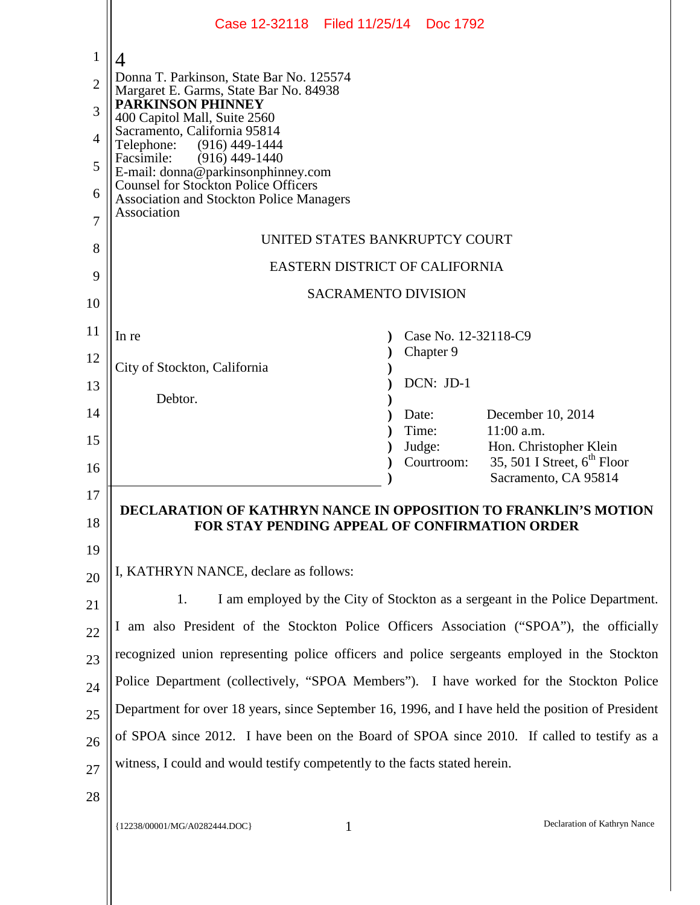|                | Case 12-32118 Filed 11/25/14 Doc 1792                                                                               |                                                                                                   |                                                          |  |  |  |  |
|----------------|---------------------------------------------------------------------------------------------------------------------|---------------------------------------------------------------------------------------------------|----------------------------------------------------------|--|--|--|--|
| $\mathbf{1}$   | 4                                                                                                                   |                                                                                                   |                                                          |  |  |  |  |
| $\overline{2}$ | Donna T. Parkinson, State Bar No. 125574<br>Margaret E. Garms, State Bar No. 84938                                  |                                                                                                   |                                                          |  |  |  |  |
| 3              | <b>PARKINSON PHINNEY</b><br>400 Capitol Mall, Suite 2560                                                            |                                                                                                   |                                                          |  |  |  |  |
| $\overline{4}$ | Sacramento, California 95814<br>Telephone:<br>$(916)$ 449-1444                                                      |                                                                                                   |                                                          |  |  |  |  |
| 5              | Facsimile:<br>$(916)$ 449-1440<br>E-mail: donna@parkinsonphinney.com<br><b>Counsel for Stockton Police Officers</b> |                                                                                                   |                                                          |  |  |  |  |
| 6              | <b>Association and Stockton Police Managers</b><br>Association                                                      |                                                                                                   |                                                          |  |  |  |  |
| 7<br>8         | UNITED STATES BANKRUPTCY COURT                                                                                      |                                                                                                   |                                                          |  |  |  |  |
| 9              | EASTERN DISTRICT OF CALIFORNIA                                                                                      |                                                                                                   |                                                          |  |  |  |  |
| 10             | <b>SACRAMENTO DIVISION</b>                                                                                          |                                                                                                   |                                                          |  |  |  |  |
| 11             |                                                                                                                     |                                                                                                   |                                                          |  |  |  |  |
| 12             | In re                                                                                                               | Case No. 12-32118-C9<br>Chapter 9                                                                 |                                                          |  |  |  |  |
|                | City of Stockton, California                                                                                        |                                                                                                   |                                                          |  |  |  |  |
| 13             | Debtor.                                                                                                             | DCN: JD-1                                                                                         |                                                          |  |  |  |  |
| 14             |                                                                                                                     | Date:                                                                                             | December 10, 2014                                        |  |  |  |  |
| 15             |                                                                                                                     | Time:<br>Judge:                                                                                   | 11:00 a.m.<br>Hon. Christopher Klein                     |  |  |  |  |
| 16             |                                                                                                                     | Courtroom:                                                                                        | 35, 501 I Street, $6^{th}$ Floor<br>Sacramento, CA 95814 |  |  |  |  |
| 17             |                                                                                                                     |                                                                                                   |                                                          |  |  |  |  |
| 18             | DECLARATION OF KATHRYN NANCE IN OPPOSITION TO FRANKLIN'S MOTION<br>FOR STAY PENDING APPEAL OF CONFIRMATION ORDER    |                                                                                                   |                                                          |  |  |  |  |
| 19             |                                                                                                                     |                                                                                                   |                                                          |  |  |  |  |
| 20             | I, KATHRYN NANCE, declare as follows:                                                                               |                                                                                                   |                                                          |  |  |  |  |
| 21             | I am employed by the City of Stockton as a sergeant in the Police Department.<br>1.                                 |                                                                                                   |                                                          |  |  |  |  |
| 22             | I am also President of the Stockton Police Officers Association ("SPOA"), the officially                            |                                                                                                   |                                                          |  |  |  |  |
| 23             | recognized union representing police officers and police sergeants employed in the Stockton                         |                                                                                                   |                                                          |  |  |  |  |
| 24             | Police Department (collectively, "SPOA Members"). I have worked for the Stockton Police                             |                                                                                                   |                                                          |  |  |  |  |
| 25             |                                                                                                                     | Department for over 18 years, since September 16, 1996, and I have held the position of President |                                                          |  |  |  |  |
| 26             | of SPOA since 2012. I have been on the Board of SPOA since 2010. If called to testify as a                          |                                                                                                   |                                                          |  |  |  |  |
| 27             | witness, I could and would testify competently to the facts stated herein.                                          |                                                                                                   |                                                          |  |  |  |  |
| 28             |                                                                                                                     |                                                                                                   |                                                          |  |  |  |  |
|                | $\mathbf{1}$<br>{12238/00001/MG/A0282444.DOC}                                                                       |                                                                                                   | Declaration of Kathryn Nance                             |  |  |  |  |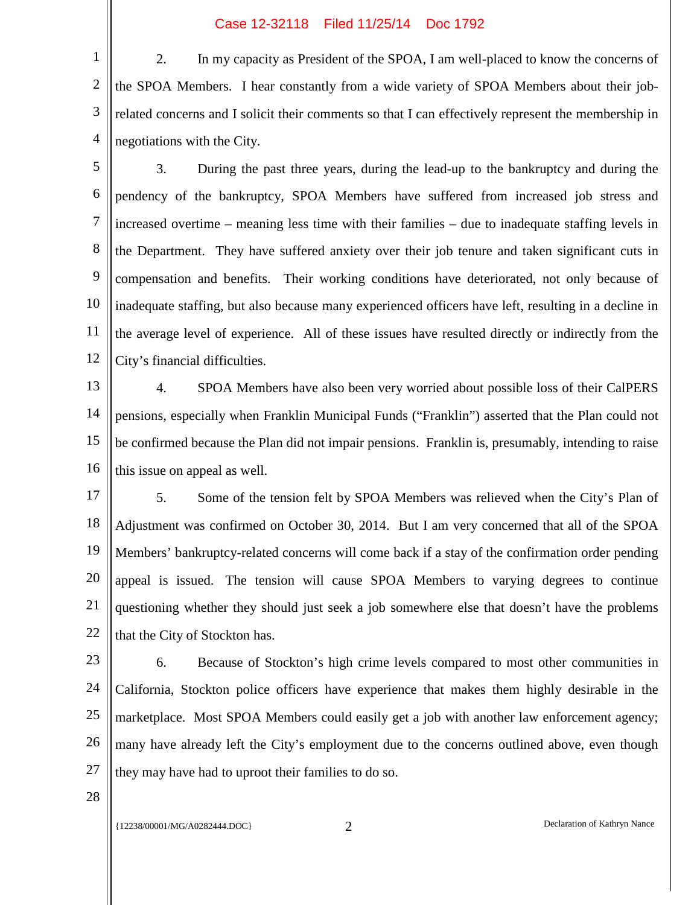## Case 12-32118 Filed 11/25/14 Doc 1792

1 2 3 4 2. In my capacity as President of the SPOA, I am well-placed to know the concerns of the SPOA Members. I hear constantly from a wide variety of SPOA Members about their jobrelated concerns and I solicit their comments so that I can effectively represent the membership in negotiations with the City.

5 6 7 8 9 10 11 12 3. During the past three years, during the lead-up to the bankruptcy and during the pendency of the bankruptcy, SPOA Members have suffered from increased job stress and increased overtime – meaning less time with their families – due to inadequate staffing levels in the Department. They have suffered anxiety over their job tenure and taken significant cuts in compensation and benefits. Their working conditions have deteriorated, not only because of inadequate staffing, but also because many experienced officers have left, resulting in a decline in the average level of experience. All of these issues have resulted directly or indirectly from the City's financial difficulties.

13 14 15 16 4. SPOA Members have also been very worried about possible loss of their CalPERS pensions, especially when Franklin Municipal Funds ("Franklin") asserted that the Plan could not be confirmed because the Plan did not impair pensions. Franklin is, presumably, intending to raise this issue on appeal as well.

17 18 19 20 21 22 5. Some of the tension felt by SPOA Members was relieved when the City's Plan of Adjustment was confirmed on October 30, 2014. But I am very concerned that all of the SPOA Members' bankruptcy-related concerns will come back if a stay of the confirmation order pending appeal is issued. The tension will cause SPOA Members to varying degrees to continue questioning whether they should just seek a job somewhere else that doesn't have the problems that the City of Stockton has.

23 24 25 26 27 6. Because of Stockton's high crime levels compared to most other communities in California, Stockton police officers have experience that makes them highly desirable in the marketplace. Most SPOA Members could easily get a job with another law enforcement agency; many have already left the City's employment due to the concerns outlined above, even though they may have had to uproot their families to do so.

28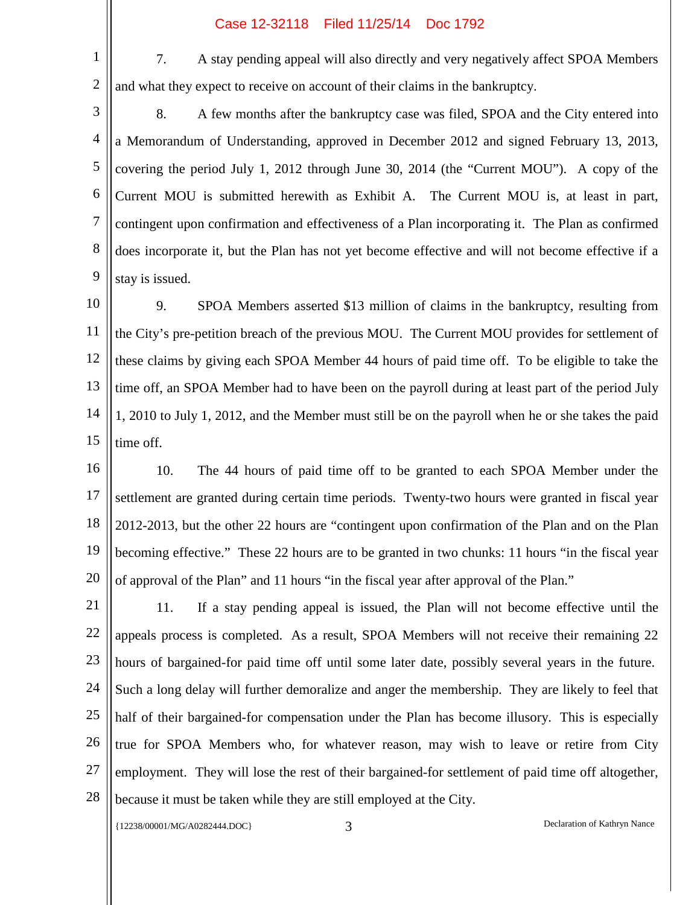## Case 12-32118 Filed 11/25/14 Doc 1792

7. A stay pending appeal will also directly and very negatively affect SPOA Members and what they expect to receive on account of their claims in the bankruptcy.

3 4 5 6 7 8 9 8. A few months after the bankruptcy case was filed, SPOA and the City entered into a Memorandum of Understanding, approved in December 2012 and signed February 13, 2013, covering the period July 1, 2012 through June 30, 2014 (the "Current MOU"). A copy of the Current MOU is submitted herewith as Exhibit A. The Current MOU is, at least in part, contingent upon confirmation and effectiveness of a Plan incorporating it. The Plan as confirmed does incorporate it, but the Plan has not yet become effective and will not become effective if a stay is issued.

10 11 12 13 14 15 9. SPOA Members asserted \$13 million of claims in the bankruptcy, resulting from the City's pre-petition breach of the previous MOU. The Current MOU provides for settlement of these claims by giving each SPOA Member 44 hours of paid time off. To be eligible to take the time off, an SPOA Member had to have been on the payroll during at least part of the period July 1, 2010 to July 1, 2012, and the Member must still be on the payroll when he or she takes the paid time off.

16 17 18 19 20 10. The 44 hours of paid time off to be granted to each SPOA Member under the settlement are granted during certain time periods. Twenty-two hours were granted in fiscal year 2012-2013, but the other 22 hours are "contingent upon confirmation of the Plan and on the Plan becoming effective." These 22 hours are to be granted in two chunks: 11 hours "in the fiscal year of approval of the Plan" and 11 hours "in the fiscal year after approval of the Plan."

21 22 23 24 25 26 27 28 11. If a stay pending appeal is issued, the Plan will not become effective until the appeals process is completed. As a result, SPOA Members will not receive their remaining 22 hours of bargained-for paid time off until some later date, possibly several years in the future. Such a long delay will further demoralize and anger the membership. They are likely to feel that half of their bargained-for compensation under the Plan has become illusory. This is especially true for SPOA Members who, for whatever reason, may wish to leave or retire from City employment. They will lose the rest of their bargained-for settlement of paid time off altogether, because it must be taken while they are still employed at the City.

{12238/00001/MG/A0282444.DOC} 3 Declaration of Kathryn Nance

1

2